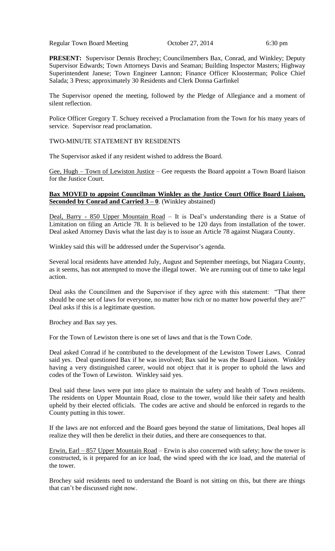Regular Town Board Meeting Corober 27, 2014 6:30 pm

**PRESENT:** Supervisor Dennis Brochey; Councilmembers Bax, Conrad, and Winkley; Deputy Supervisor Edwards; Town Attorneys Davis and Seaman; Building Inspector Masters; Highway Superintendent Janese; Town Engineer Lannon; Finance Officer Kloosterman; Police Chief Salada; 3 Press; approximately 30 Residents and Clerk Donna Garfinkel

The Supervisor opened the meeting, followed by the Pledge of Allegiance and a moment of silent reflection.

Police Officer Gregory T. Schuey received a Proclamation from the Town for his many years of service. Supervisor read proclamation.

#### TWO-MINUTE STATEMENT BY RESIDENTS

The Supervisor asked if any resident wished to address the Board.

Gee, Hugh – Town of Lewiston Justice – Gee requests the Board appoint a Town Board liaison for the Justice Court.

#### **Bax MOVED to appoint Councilman Winkley as the Justice Court Office Board Liaison, <u>Seconded by Conrad and Carried 3 – 0</u>**. (Winkley abstained)

Deal, Barry - 850 Upper Mountain Road – It is Deal's understanding there is a Statue of Limitation on filing an Article 78. It is believed to be 120 days from installation of the tower. Deal asked Attorney Davis what the last day is to issue an Article 78 against Niagara County.

Winkley said this will be addressed under the Supervisor's agenda.

Several local residents have attended July, August and September meetings, but Niagara County, as it seems, has not attempted to move the illegal tower. We are running out of time to take legal action.

Deal asks the Councilmen and the Supervisor if they agree with this statement: "That there should be one set of laws for everyone, no matter how rich or no matter how powerful they are?" Deal asks if this is a legitimate question.

Brochey and Bax say yes.

For the Town of Lewiston there is one set of laws and that is the Town Code.

Deal asked Conrad if he contributed to the development of the Lewiston Tower Laws. Conrad said yes. Deal questioned Bax if he was involved; Bax said he was the Board Liaison. Winkley having a very distinguished career, would not object that it is proper to uphold the laws and codes of the Town of Lewiston. Winkley said yes.

Deal said these laws were put into place to maintain the safety and health of Town residents. The residents on Upper Mountain Road, close to the tower, would like their safety and health upheld by their elected officials. The codes are active and should be enforced in regards to the County putting in this tower.

If the laws are not enforced and the Board goes beyond the statue of limitations, Deal hopes all realize they will then be derelict in their duties, and there are consequences to that.

Erwin, Earl  $-857$  Upper Mountain Road – Erwin is also concerned with safety; how the tower is constructed, is it prepared for an ice load, the wind speed with the ice load, and the material of the tower.

Brochey said residents need to understand the Board is not sitting on this, but there are things that can't be discussed right now.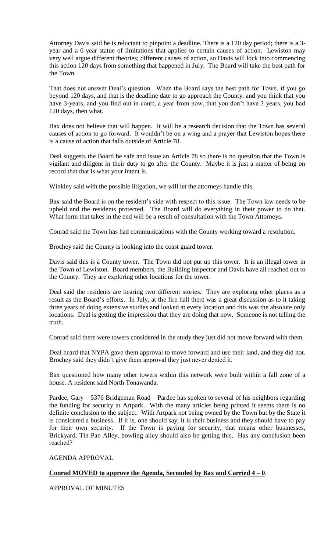Attorney Davis said he is reluctant to pinpoint a deadline. There is a 120 day period; there is a 3 year and a 6-year statue of limitations that applies to certain causes of action. Lewiston may very well argue different theories; different causes of action, so Davis will lock into commencing this action 120 days from something that happened in July. The Board will take the best path for the Town.

That does not answer Deal's question. When the Board says the best path for Town, if you go beyond 120 days, and that is the deadline date to go approach the County, and you think that you have 3-years, and you find out in court, a year from now, that you don't have 3 years, you had 120 days, then what.

Bax does not believe that will happen. It will be a research decision that the Town has several causes of action to go forward. It wouldn't be on a wing and a prayer that Lewiston hopes there is a cause of action that falls outside of Article 78.

Deal suggests the Board be safe and issue an Article 78 so there is no question that the Town is vigilant and diligent in their duty to go after the County. Maybe it is just a matter of being on record that that is what your intent is.

Winkley said with the possible litigation, we will let the attorneys handle this.

Bax said the Board is on the resident's side with respect to this issue. The Town law needs to be upheld and the residents protected. The Board will do everything in their power to do that. What form that takes in the end will be a result of consultation with the Town Attorneys.

Conrad said the Town has had communications with the County working toward a resolution.

Brochey said the County is looking into the coast guard tower.

Davis said this is a County tower. The Town did not put up this tower. It is an illegal tower in the Town of Lewiston. Board members, the Building Inspector and Davis have all reached out to the County. They are exploring other locations for the tower.

Deal said the residents are hearing two different stories. They are exploring other places as a result as the Board's efforts. In July, at the fire hall there was a great discussion as to it taking three years of doing extensive studies and looked at every location and this was the absolute only locations. Deal is getting the impression that they are doing that now. Someone is not telling the truth.

Conrad said there were towers considered in the study they just did not move forward with them.

Deal heard that NYPA gave them approval to move forward and use their land, and they did not. Brochey said they didn't give them approval they just never denied it.

Bax questioned how many other towers within this network were built within a fall zone of a house. A resident said North Tonawanda.

Pardee, Gary – 5376 Bridgeman Road – Pardee has spoken to several of his neighbors regarding the funding for security at Artpark. With the many articles being printed it seems there is no definite conclusion to the subject. With Artpark not being owned by the Town but by the State it is considered a business. If it is, one should say, it is their business and they should have to pay for their own security. If the Town is paying for security, that means other businesses, Brickyard, Tin Pan Alley, bowling alley should also be getting this. Has any conclusion been reached?

AGENDA APPROVAL

## **Conrad MOVED to approve the Agenda, Seconded by Bax and Carried 4 – 0**.

APPROVAL OF MINUTES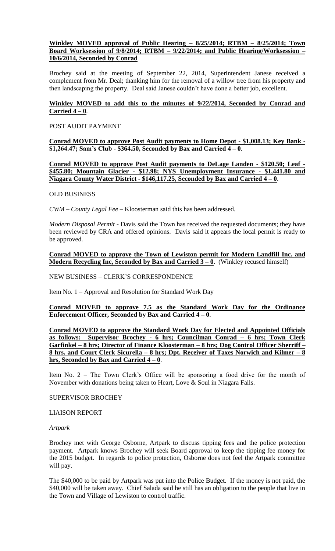## **Winkley MOVED approval of Public Hearing – 8/25/2014; RTBM – 8/25/2014; Town Board Worksession of 9/8/2014; RTBM – 9/22/2014; and Public Hearing/Worksession – 10/6/2014, Seconded by Conrad**

Brochey said at the meeting of September 22, 2014, Superintendent Janese received a complement from Mr. Deal; thanking him for the removal of a willow tree from his property and then landscaping the property. Deal said Janese couldn't have done a better job, excellent.

## **Winkley MOVED to add this to the minutes of 9/22/2014, Seconded by Conrad and Carried 4 – 0**.

#### POST AUDIT PAYMENT

**Conrad MOVED to approve Post Audit payments to Home Depot - \$1,008.13; Key Bank - \$1,264.47; Sam's Club - \$364.50, Seconded by Bax and Carried 4 – 0**.

**Conrad MOVED to approve Post Audit payments to DeLage Landen - \$120.50; Leaf - \$455.80; Mountain Glacier - \$12.98; NYS Unemployment Insurance - \$1,441.80 and Niagara County Water District - \$146,117.25, Seconded by Bax and Carried 4 – 0**.

#### OLD BUSINESS

*CWM – County Legal Fee* – Kloosterman said this has been addressed.

*Modern Disposal Permit* - Davis said the Town has received the requested documents; they have been reviewed by CRA and offered opinions. Davis said it appears the local permit is ready to be approved.

#### **Conrad MOVED to approve the Town of Lewiston permit for Modern Landfill Inc. and Modern Recycling Inc, Seconded by Bax and Carried**  $3-0$ **.** (Winkley recused himself)

NEW BUSINESS – CLERK'S CORRESPONDENCE

Item No. 1 – Approval and Resolution for Standard Work Day

**Conrad MOVED to approve 7.5 as the Standard Work Day for the Ordinance Enforcement Officer, Seconded by Bax and Carried 4 – 0**.

**Conrad MOVED to approve the Standard Work Day for Elected and Appointed Officials as follows: Supervisor Brochey - 6 hrs; Councilman Conrad – 6 hrs; Town Clerk Garfinkel – 8 hrs; Director of Finance Kloosterman – 8 hrs; Dog Control Officer Sherriff – 8 hrs. and Court Clerk Sicurella – 8 hrs; Dpt. Receiver of Taxes Norwich and Kilmer – 8 hrs, Seconded by Bax and Carried 4 – 0**.

Item No. 2 – The Town Clerk's Office will be sponsoring a food drive for the month of November with donations being taken to Heart, Love & Soul in Niagara Falls.

#### SUPERVISOR BROCHEY

#### LIAISON REPORT

#### *Artpark*

Brochey met with George Osborne, Artpark to discuss tipping fees and the police protection payment. Artpark knows Brochey will seek Board approval to keep the tipping fee money for the 2015 budget. In regards to police protection, Osborne does not feel the Artpark committee will pay.

The \$40,000 to be paid by Artpark was put into the Police Budget. If the money is not paid, the \$40,000 will be taken away. Chief Salada said he still has an obligation to the people that live in the Town and Village of Lewiston to control traffic.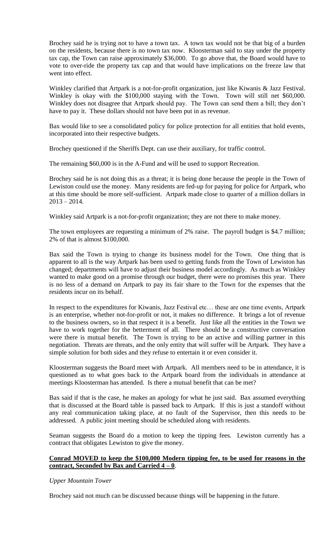Brochey said he is trying not to have a town tax. A town tax would not be that big of a burden on the residents, because there is no town tax now. Kloosterman said to stay under the property tax cap, the Town can raise approximately \$36,000. To go above that, the Board would have to vote to over-ride the property tax cap and that would have implications on the freeze law that went into effect.

Winkley clarified that Artpark is a not-for-profit organization, just like Kiwanis & Jazz Festival. Winkley is okay with the \$100,000 staying with the Town. Town will still net \$60,000. Winkley does not disagree that Artpark should pay. The Town can send them a bill; they don't have to pay it. These dollars should not have been put in as revenue.

Bax would like to see a consolidated policy for police protection for all entities that hold events, incorporated into their respective budgets.

Brochey questioned if the Sheriffs Dept. can use their auxiliary, for traffic control.

The remaining \$60,000 is in the A-Fund and will be used to support Recreation.

Brochey said he is not doing this as a threat; it is being done because the people in the Town of Lewiston could use the money. Many residents are fed-up for paying for police for Artpark, who at this time should be more self-sufficient. Artpark made close to quarter of a million dollars in  $2013 - 2014.$ 

Winkley said Artpark is a not-for-profit organization; they are not there to make money.

The town employees are requesting a minimum of 2% raise. The payroll budget is \$4.7 million; 2% of that is almost \$100,000.

Bax said the Town is trying to change its business model for the Town. One thing that is apparent to all is the way Artpark has been used to getting funds from the Town of Lewiston has changed; departments will have to adjust their business model accordingly. As much as Winkley wanted to make good on a promise through our budget, there were no promises this year. There is no less of a demand on Artpark to pay its fair share to the Town for the expenses that the residents incur on its behalf.

In respect to the expenditures for Kiwanis, Jazz Festival etc… these are one time events, Artpark is an enterprise, whether not-for-profit or not, it makes no difference. It brings a lot of revenue to the business owners, so in that respect it is a benefit. Just like all the entities in the Town we have to work together for the betterment of all. There should be a constructive conversation were there is mutual benefit. The Town is trying to be an active and willing partner in this negotiation. Threats are threats, and the only entity that will suffer will be Artpark. They have a simple solution for both sides and they refuse to entertain it or even consider it.

Kloosterman suggests the Board meet with Artpark. All members need to be in attendance, it is questioned as to what goes back to the Artpark board from the individuals in attendance at meetings Kloosterman has attended. Is there a mutual benefit that can be met?

Bax said if that is the case, he makes an apology for what he just said. Bax assumed everything that is discussed at the Board table is passed back to Artpark. If this is just a standoff without any real communication taking place, at no fault of the Supervisor, then this needs to be addressed. A public joint meeting should be scheduled along with residents.

Seaman suggests the Board do a motion to keep the tipping fees. Lewiston currently has a contract that obligates Lewiston to give the money.

# **Conrad MOVED to keep the \$100,000 Modern tipping fee, to be used for reasons in the contract, Seconded by Bax and Carried 4 – 0**.

## *Upper Mountain Tower*

Brochey said not much can be discussed because things will be happening in the future.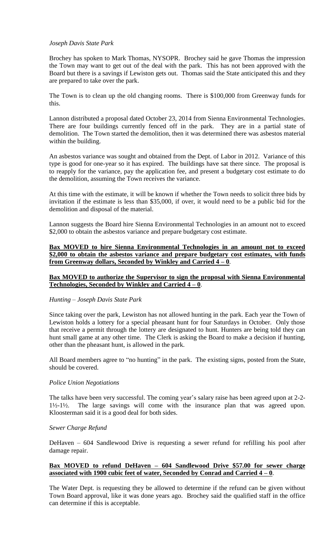#### *Joseph Davis State Park*

Brochey has spoken to Mark Thomas, NYSOPR. Brochey said he gave Thomas the impression the Town may want to get out of the deal with the park. This has not been approved with the Board but there is a savings if Lewiston gets out. Thomas said the State anticipated this and they are prepared to take over the park.

The Town is to clean up the old changing rooms. There is \$100,000 from Greenway funds for this.

Lannon distributed a proposal dated October 23, 2014 from Sienna Environmental Technologies. There are four buildings currently fenced off in the park. They are in a partial state of demolition. The Town started the demolition, then it was determined there was asbestos material within the building.

An asbestos variance was sought and obtained from the Dept. of Labor in 2012. Variance of this type is good for one-year so it has expired. The buildings have sat there since. The proposal is to reapply for the variance, pay the application fee, and present a budgetary cost estimate to do the demolition, assuming the Town receives the variance.

At this time with the estimate, it will be known if whether the Town needs to solicit three bids by invitation if the estimate is less than \$35,000, if over, it would need to be a public bid for the demolition and disposal of the material.

Lannon suggests the Board hire Sienna Environmental Technologies in an amount not to exceed \$2,000 to obtain the asbestos variance and prepare budgetary cost estimate.

#### **Bax MOVED to hire Sienna Environmental Technologies in an amount not to exceed \$2,000 to obtain the asbestos variance and prepare budgetary cost estimates, with funds from Greenway dollars, Seconded by Winkley and Carried 4 – 0**.

## **Bax MOVED to authorize the Supervisor to sign the proposal with Sienna Environmental Technologies, Seconded by Winkley and Carried 4 – 0**.

## *Hunting – Joseph Davis State Park*

Since taking over the park, Lewiston has not allowed hunting in the park. Each year the Town of Lewiston holds a lottery for a special pheasant hunt for four Saturdays in October. Only those that receive a permit through the lottery are designated to hunt. Hunters are being told they can hunt small game at any other time. The Clerk is asking the Board to make a decision if hunting, other than the pheasant hunt, is allowed in the park.

All Board members agree to "no hunting" in the park. The existing signs, posted from the State, should be covered.

#### *Police Union Negotiations*

The talks have been very successful. The coming year's salary raise has been agreed upon at 2-2- 1½-1½. The large savings will come with the insurance plan that was agreed upon. Kloosterman said it is a good deal for both sides.

#### *Sewer Charge Refund*

DeHaven – 604 Sandlewood Drive is requesting a sewer refund for refilling his pool after damage repair.

## **Bax MOVED to refund DeHaven – 604 Sandlewood Drive \$57.00 for sewer charge associated with 1900 cubic feet of water, Seconded by Conrad and Carried 4 – 0**.

The Water Dept. is requesting they be allowed to determine if the refund can be given without Town Board approval, like it was done years ago. Brochey said the qualified staff in the office can determine if this is acceptable.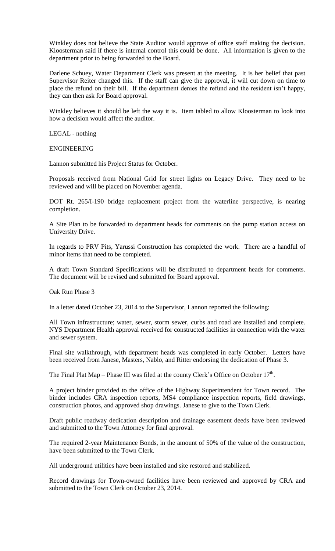Winkley does not believe the State Auditor would approve of office staff making the decision. Kloosterman said if there is internal control this could be done. All information is given to the department prior to being forwarded to the Board.

Darlene Schuey, Water Department Clerk was present at the meeting. It is her belief that past Supervisor Reiter changed this. If the staff can give the approval, it will cut down on time to place the refund on their bill. If the department denies the refund and the resident isn't happy, they can then ask for Board approval.

Winkley believes it should be left the way it is. Item tabled to allow Kloosterman to look into how a decision would affect the auditor.

LEGAL - nothing

ENGINEERING

Lannon submitted his Project Status for October.

Proposals received from National Grid for street lights on Legacy Drive. They need to be reviewed and will be placed on November agenda.

DOT Rt. 265/I-190 bridge replacement project from the waterline perspective, is nearing completion.

A Site Plan to be forwarded to department heads for comments on the pump station access on University Drive.

In regards to PRV Pits, Yarussi Construction has completed the work. There are a handful of minor items that need to be completed.

A draft Town Standard Specifications will be distributed to department heads for comments. The document will be revised and submitted for Board approval.

Oak Run Phase 3

In a letter dated October 23, 2014 to the Supervisor, Lannon reported the following:

All Town infrastructure; water, sewer, storm sewer, curbs and road are installed and complete. NYS Department Health approval received for constructed facilities in connection with the water and sewer system.

Final site walkthrough, with department heads was completed in early October. Letters have been received from Janese, Masters, Nablo, and Ritter endorsing the dedication of Phase 3.

The Final Plat Map – Phase III was filed at the county Clerk's Office on October  $17<sup>th</sup>$ .

A project binder provided to the office of the Highway Superintendent for Town record. The binder includes CRA inspection reports, MS4 compliance inspection reports, field drawings, construction photos, and approved shop drawings. Janese to give to the Town Clerk.

Draft public roadway dedication description and drainage easement deeds have been reviewed and submitted to the Town Attorney for final approval.

The required 2-year Maintenance Bonds, in the amount of 50% of the value of the construction, have been submitted to the Town Clerk.

All underground utilities have been installed and site restored and stabilized.

Record drawings for Town-owned facilities have been reviewed and approved by CRA and submitted to the Town Clerk on October 23, 2014.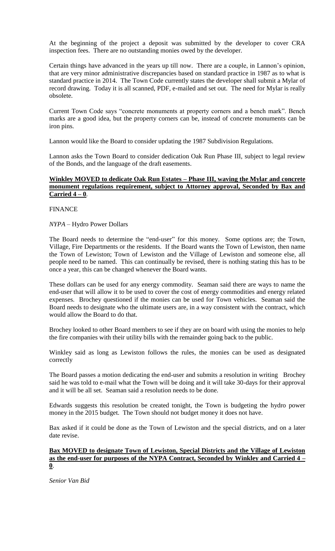At the beginning of the project a deposit was submitted by the developer to cover CRA inspection fees. There are no outstanding monies owed by the developer.

Certain things have advanced in the years up till now. There are a couple, in Lannon's opinion, that are very minor administrative discrepancies based on standard practice in 1987 as to what is standard practice in 2014. The Town Code currently states the developer shall submit a Mylar of record drawing. Today it is all scanned, PDF, e-mailed and set out. The need for Mylar is really obsolete.

Current Town Code says "concrete monuments at property corners and a bench mark". Bench marks are a good idea, but the property corners can be, instead of concrete monuments can be iron pins.

Lannon would like the Board to consider updating the 1987 Subdivision Regulations.

Lannon asks the Town Board to consider dedication Oak Run Phase III, subject to legal review of the Bonds, and the language of the draft easements.

#### **Winkley MOVED to dedicate Oak Run Estates – Phase III, waving the Mylar and concrete monument regulations requirement, subject to Attorney approval, Seconded by Bax and Carried 4 – 0**.

#### FINANCE

## *NYPA* – Hydro Power Dollars

The Board needs to determine the "end-user" for this money. Some options are; the Town, Village, Fire Departments or the residents. If the Board wants the Town of Lewiston, then name the Town of Lewiston; Town of Lewiston and the Village of Lewiston and someone else, all people need to be named. This can continually be revised, there is nothing stating this has to be once a year, this can be changed whenever the Board wants.

These dollars can be used for any energy commodity. Seaman said there are ways to name the end-user that will allow it to be used to cover the cost of energy commodities and energy related expenses. Brochey questioned if the monies can be used for Town vehicles. Seaman said the Board needs to designate who the ultimate users are, in a way consistent with the contract, which would allow the Board to do that.

Brochey looked to other Board members to see if they are on board with using the monies to help the fire companies with their utility bills with the remainder going back to the public.

Winkley said as long as Lewiston follows the rules, the monies can be used as designated correctly

The Board passes a motion dedicating the end-user and submits a resolution in writing Brochey said he was told to e-mail what the Town will be doing and it will take 30-days for their approval and it will be all set. Seaman said a resolution needs to be done.

Edwards suggests this resolution be created tonight, the Town is budgeting the hydro power money in the 2015 budget. The Town should not budget money it does not have.

Bax asked if it could be done as the Town of Lewiston and the special districts, and on a later date revise.

#### **Bax MOVED to designate Town of Lewiston, Special Districts and the Village of Lewiston as the end-user for purposes of the NYPA Contract, Seconded by Winkley and Carried 4 – 0**.

*Senior Van Bid*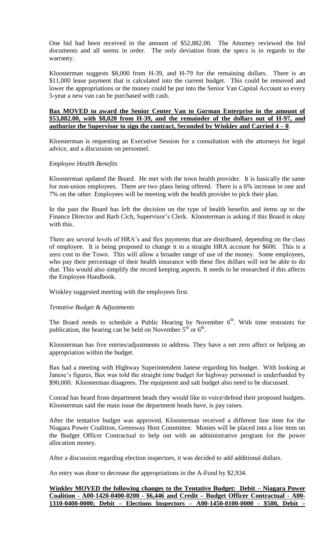One bid had been received in the amount of \$52,882.00. The Attorney reviewed the bid documents and all seems in order. The only deviation from the specs is in regards to the warranty.

Kloosterman suggests \$8,000 from H-39, and H-79 for the remaining dollars. There is an \$11,000 lease payment that is calculated into the current budget. This could be removed and lower the appropriations or the money could be put into the Senior Van Capital Account so every 5-year a new van can be purchased with cash.

## **Bax MOVED to award the Senior Center Van to Gorman Enterprise in the amount of \$53,882.00, with \$8,020 from H-39, and the remainder of the dollars out of H-97, and authorize the Supervisor to sign the contract, Seconded by Winkley and Carried**  $4 - 0$ **.**

Kloosterman is requesting an Executive Session for a consultation with the attorneys for legal advice, and a discussion on personnel.

#### *Employee Health Benefits*

Kloosterman updated the Board. He met with the town health provider. It is basically the same for non-union employees. There are two plans being offered. There is a 6% increase in one and 7% on the other. Employees will be meeting with the health provider to pick their plan.

In the past the Board has left the decision on the type of health benefits and items up to the Finance Director and Barb Cich, Supervisor's Clerk. Kloosterman is asking if this Board is okay with this.

There are several levels of HRA's and flex payments that are distributed, depending on the class of employee. It is being proposed to change it to a straight HRA account for \$600. This is a zero cost to the Town. This will allow a broader range of use of the money. Some employees, who pay their percentage of their health insurance with these flex dollars will not be able to do that. This would also simplify the record keeping aspects. It needs to be researched if this affects the Employee Handbook.

Winkley suggested meeting with the employees first.

## *Tentative Budget & Adjustments*

The Board needs to schedule a Public Hearing by November  $6<sup>th</sup>$ . With time restraints for publication, the hearing can be held on November  $5<sup>th</sup>$  or  $6<sup>th</sup>$ .

Kloosterman has five entries/adjustments to address. They have a net zero affect or helping an appropriation within the budget.

Bax had a meeting with Highway Superintendent Janese regarding his budget. With looking at Janese's figures, Bax was told the straight time budget for highway personnel is underfunded by \$90,000. Kloosterman disagrees. The equipment and salt budget also need to be discussed.

Conrad has heard from department heads they would like to voice/defend their proposed budgets. Kloosterman said the main issue the department heads have, is pay raises.

After the tentative budget was approved, Kloosterman received a different line item for the Niagara Power Coalition, Greenway Host Committee. Monies will be placed into a line item on the Budget Officer Contractual to help out with an administrative program for the power allocation money.

After a discussion regarding election inspectors, it was decided to add additional dollars.

An entry was done to decrease the appropriations in the A-Fund by \$2,934.

# **Winkley MOVED the following changes to the Tentative Budget: Debit – Niagara Power Coalition - A00-1420-0400-0200 - \$6,446 and Credit – Budget Officer Contractual - A00- 1310-0400-0000; Debit – Elections Inspectors – A00-1450-0100-0000 - \$500, Debit –**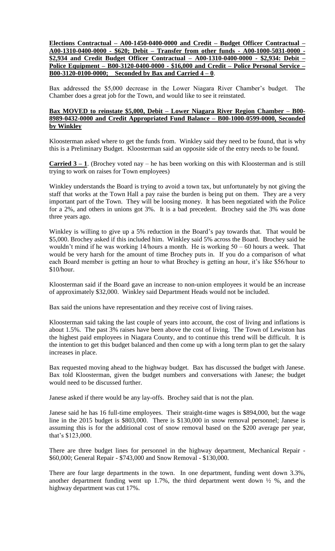**Elections Contractual – A00-1450-0400-0000 and Credit – Budget Officer Contractual – A00-1310-0400-0000 - \$620; Debit – Transfer from other funds - A00-1000-5031-0000 - \$2,934 and Credit Budget Officer Contractual – A00-1310-0400-0000 - \$2,934: Debit – Police Equipment – B00-3120-0400-0000 - \$16,000 and Credit – Police Personal Service – B00-3120-0100-0000; Seconded by Bax and Carried 4 – 0**.

Bax addressed the \$5,000 decrease in the Lower Niagara River Chamber's budget. The Chamber does a great job for the Town, and would like to see it reinstated.

## **Bax MOVED to reinstate \$5,000, Debit – Lower Niagara River Region Chamber – B00- 8989-0432-0000 and Credit Appropriated Fund Balance – B00-1000-0599-0000, Seconded by Winkley**

Kloosterman asked where to get the funds from. Winkley said they need to be found, that is why this is a Preliminary Budget. Kloosterman said an opposite side of the entry needs to be found.

**Carried**  $3 - 1$ **. (Brochey voted nay – he has been working on this with Kloosterman and is still** trying to work on raises for Town employees)

Winkley understands the Board is trying to avoid a town tax, but unfortunately by not giving the staff that works at the Town Hall a pay raise the burden is being put on them. They are a very important part of the Town. They will be loosing money. It has been negotiated with the Police for a 2%, and others in unions got 3%. It is a bad precedent. Brochey said the 3% was done three years ago.

Winkley is willing to give up a 5% reduction in the Board's pay towards that. That would be \$5,000. Brochey asked if this included him. Winkley said 5% across the Board. Brochey said he wouldn't mind if he was working 14/hours a month. He is working 50 – 60 hours a week. That would be very harsh for the amount of time Brochey puts in. If you do a comparison of what each Board member is getting an hour to what Brochey is getting an hour, it's like \$56/hour to \$10/hour.

Kloosterman said if the Board gave an increase to non-union employees it would be an increase of approximately \$32,000. Winkley said Department Heads would not be included.

Bax said the unions have representation and they receive cost of living raises.

Kloosterman said taking the last couple of years into account, the cost of living and inflations is about 1.5%. The past 3% raises have been above the cost of living. The Town of Lewiston has the highest paid employees in Niagara County, and to continue this trend will be difficult. It is the intention to get this budget balanced and then come up with a long term plan to get the salary increases in place.

Bax requested moving ahead to the highway budget. Bax has discussed the budget with Janese. Bax told Kloosterman, given the budget numbers and conversations with Janese; the budget would need to be discussed further.

Janese asked if there would be any lay-offs. Brochey said that is not the plan.

Janese said he has 16 full-time employees. Their straight-time wages is \$894,000, but the wage line in the 2015 budget is \$803,000. There is \$130,000 in snow removal personnel; Janese is assuming this is for the additional cost of snow removal based on the \$200 average per year, that's \$123,000.

There are three budget lines for personnel in the highway department, Mechanical Repair - \$60,000; General Repair - \$743,000 and Snow Removal - \$130,000.

There are four large departments in the town. In one department, funding went down 3.3%, another department funding went up 1.7%, the third department went down  $\frac{1}{2}$  %, and the highway department was cut 17%.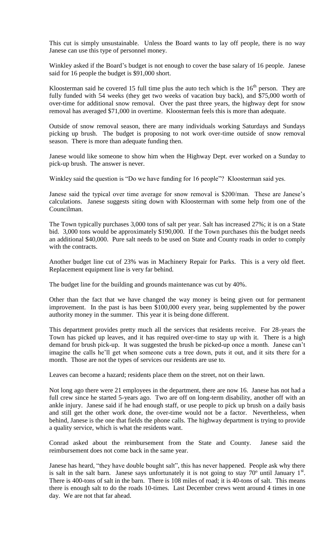This cut is simply unsustainable. Unless the Board wants to lay off people, there is no way Janese can use this type of personnel money.

Winkley asked if the Board's budget is not enough to cover the base salary of 16 people. Janese said for 16 people the budget is \$91,000 short.

Kloosterman said he covered 15 full time plus the auto tech which is the  $16<sup>th</sup>$  person. They are fully funded with 54 weeks (they get two weeks of vacation buy back), and \$75,000 worth of over-time for additional snow removal. Over the past three years, the highway dept for snow removal has averaged \$71,000 in overtime. Kloosterman feels this is more than adequate.

Outside of snow removal season, there are many individuals working Saturdays and Sundays picking up brush. The budget is proposing to not work over-time outside of snow removal season. There is more than adequate funding then.

Janese would like someone to show him when the Highway Dept. ever worked on a Sunday to pick-up brush. The answer is never.

Winkley said the question is "Do we have funding for 16 people"? Kloosterman said yes.

Janese said the typical over time average for snow removal is \$200/man. These are Janese's calculations. Janese suggests siting down with Kloosterman with some help from one of the Councilman.

The Town typically purchases 3,000 tons of salt per year. Salt has increased 27%; it is on a State bid. 3,000 tons would be approximately \$190,000. If the Town purchases this the budget needs an additional \$40,000. Pure salt needs to be used on State and County roads in order to comply with the contracts.

Another budget line cut of 23% was in Machinery Repair for Parks. This is a very old fleet. Replacement equipment line is very far behind.

The budget line for the building and grounds maintenance was cut by 40%.

Other than the fact that we have changed the way money is being given out for permanent improvement. In the past is has been \$100,000 every year, being supplemented by the power authority money in the summer. This year it is being done different.

This department provides pretty much all the services that residents receive. For 28-years the Town has picked up leaves, and it has required over-time to stay up with it. There is a high demand for brush pick-up. It was suggested the brush be picked-up once a month. Janese can't imagine the calls he'll get when someone cuts a tree down, puts it out, and it sits there for a month. Those are not the types of services our residents are use to.

Leaves can become a hazard; residents place them on the street, not on their lawn.

Not long ago there were 21 employees in the department, there are now 16. Janese has not had a full crew since he started 5-years ago. Two are off on long-term disability, another off with an ankle injury. Janese said if he had enough staff, or use people to pick up brush on a daily basis and still get the other work done, the over-time would not be a factor. Nevertheless, when behind, Janese is the one that fields the phone calls. The highway department is trying to provide a quality service, which is what the residents want.

Conrad asked about the reimbursement from the State and County. Janese said the reimbursement does not come back in the same year.

Janese has heard, "they have double bought salt", this has never happened. People ask why there is salt in the salt barn. Janese says unfortunately it is not going to stay  $70^{\circ}$  until January  $1^{\text{st}}$ . There is 400-tons of salt in the barn. There is 108 miles of road; it is 40-tons of salt. This means there is enough salt to do the roads 10-times. Last December crews went around 4 times in one day. We are not that far ahead.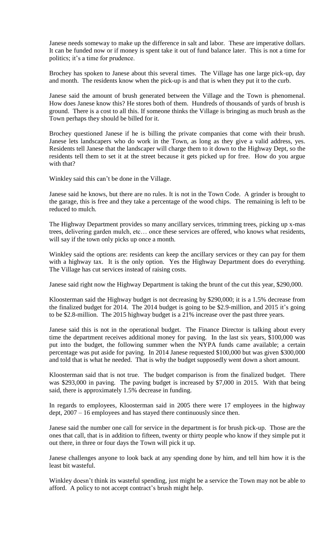Janese needs someway to make up the difference in salt and labor. These are imperative dollars. It can be funded now or if money is spent take it out of fund balance later. This is not a time for politics; it's a time for prudence.

Brochey has spoken to Janese about this several times. The Village has one large pick-up, day and month. The residents know when the pick-up is and that is when they put it to the curb.

Janese said the amount of brush generated between the Village and the Town is phenomenal. How does Janese know this? He stores both of them. Hundreds of thousands of yards of brush is ground. There is a cost to all this. If someone thinks the Village is bringing as much brush as the Town perhaps they should be billed for it.

Brochey questioned Janese if he is billing the private companies that come with their brush. Janese lets landscapers who do work in the Town, as long as they give a valid address, yes. Residents tell Janese that the landscaper will charge them to it down to the Highway Dept, so the residents tell them to set it at the street because it gets picked up for free. How do you argue with that?

Winkley said this can't be done in the Village.

Janese said he knows, but there are no rules. It is not in the Town Code. A grinder is brought to the garage, this is free and they take a percentage of the wood chips. The remaining is left to be reduced to mulch.

The Highway Department provides so many ancillary services, trimming trees, picking up x-mas trees, delivering garden mulch, etc… once these services are offered, who knows what residents, will say if the town only picks up once a month.

Winkley said the options are: residents can keep the ancillary services or they can pay for them with a highway tax. It is the only option. Yes the Highway Department does do everything. The Village has cut services instead of raising costs.

Janese said right now the Highway Department is taking the brunt of the cut this year, \$290,000.

Kloosterman said the Highway budget is not decreasing by \$290,000; it is a 1.5% decrease from the finalized budget for 2014. The 2014 budget is going to be \$2.9-million, and 2015 it's going to be \$2.8-million. The 2015 highway budget is a 21% increase over the past three years.

Janese said this is not in the operational budget. The Finance Director is talking about every time the department receives additional money for paving. In the last six years, \$100,000 was put into the budget, the following summer when the NYPA funds came available; a certain percentage was put aside for paving. In 2014 Janese requested \$100,000 but was given \$300,000 and told that is what he needed. That is why the budget supposedly went down a short amount.

Kloosterman said that is not true. The budget comparison is from the finalized budget. There was \$293,000 in paving. The paving budget is increased by \$7,000 in 2015. With that being said, there is approximately 1.5% decrease in funding.

In regards to employees, Kloosterman said in 2005 there were 17 employees in the highway dept, 2007 – 16 employees and has stayed there continuously since then.

Janese said the number one call for service in the department is for brush pick-up. Those are the ones that call, that is in addition to fifteen, twenty or thirty people who know if they simple put it out there, in three or four days the Town will pick it up.

Janese challenges anyone to look back at any spending done by him, and tell him how it is the least bit wasteful.

Winkley doesn't think its wasteful spending, just might be a service the Town may not be able to afford. A policy to not accept contract's brush might help.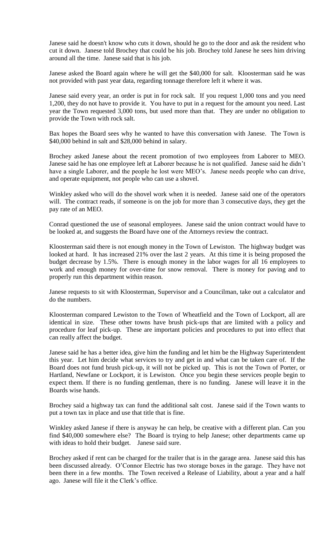Janese said he doesn't know who cuts it down, should he go to the door and ask the resident who cut it down. Janese told Brochey that could be his job. Brochey told Janese he sees him driving around all the time. Janese said that is his job.

Janese asked the Board again where he will get the \$40,000 for salt. Kloosterman said he was not provided with past year data, regarding tonnage therefore left it where it was.

Janese said every year, an order is put in for rock salt. If you request 1,000 tons and you need 1,200, they do not have to provide it. You have to put in a request for the amount you need. Last year the Town requested 3,000 tons, but used more than that. They are under no obligation to provide the Town with rock salt.

Bax hopes the Board sees why he wanted to have this conversation with Janese. The Town is \$40,000 behind in salt and \$28,000 behind in salary.

Brochey asked Janese about the recent promotion of two employees from Laborer to MEO. Janese said he has one employee left at Laborer because he is not qualified. Janese said he didn't have a single Laborer, and the people he lost were MEO's. Janese needs people who can drive, and operate equipment, not people who can use a shovel.

Winkley asked who will do the shovel work when it is needed. Janese said one of the operators will. The contract reads, if someone is on the job for more than 3 consecutive days, they get the pay rate of an MEO.

Conrad questioned the use of seasonal employees. Janese said the union contract would have to be looked at, and suggests the Board have one of the Attorneys review the contract.

Kloosterman said there is not enough money in the Town of Lewiston. The highway budget was looked at hard. It has increased 21% over the last 2 years. At this time it is being proposed the budget decrease by 1.5%. There is enough money in the labor wages for all 16 employees to work and enough money for over-time for snow removal. There is money for paving and to properly run this department within reason.

Janese requests to sit with Kloosterman, Supervisor and a Councilman, take out a calculator and do the numbers.

Kloosterman compared Lewiston to the Town of Wheatfield and the Town of Lockport, all are identical in size. These other towns have brush pick-ups that are limited with a policy and procedure for leaf pick-up. These are important policies and procedures to put into effect that can really affect the budget.

Janese said he has a better idea, give him the funding and let him be the Highway Superintendent this year. Let him decide what services to try and get in and what can be taken care of. If the Board does not fund brush pick-up, it will not be picked up. This is not the Town of Porter, or Hartland, Newfane or Lockport, it is Lewiston. Once you begin these services people begin to expect them. If there is no funding gentleman, there is no funding. Janese will leave it in the Boards wise hands.

Brochey said a highway tax can fund the additional salt cost. Janese said if the Town wants to put a town tax in place and use that title that is fine.

Winkley asked Janese if there is anyway he can help, be creative with a different plan. Can you find \$40,000 somewhere else? The Board is trying to help Janese; other departments came up with ideas to hold their budget. Janese said sure.

Brochey asked if rent can be charged for the trailer that is in the garage area. Janese said this has been discussed already. O'Connor Electric has two storage boxes in the garage. They have not been there in a few months. The Town received a Release of Liability, about a year and a half ago. Janese will file it the Clerk's office.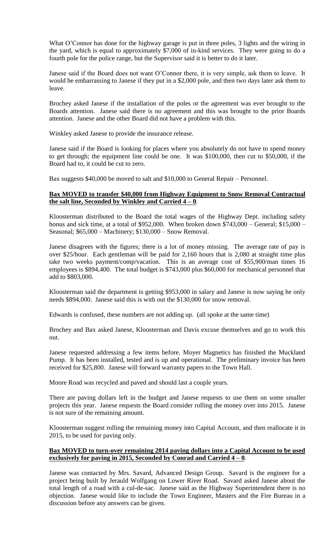What O'Connor has done for the highway garage is put in three poles, 3 lights and the wiring in the yard, which is equal to approximately \$7,000 of in-kind services. They were going to do a fourth pole for the police range, but the Supervisor said it is better to do it later.

Janese said if the Board does not want O'Connor there, it is very simple, ask them to leave. It would be embarrassing to Janese if they put in a \$2,000 pole, and then two days later ask them to leave.

Brochey asked Janese if the installation of the poles or the agreement was ever brought to the Boards attention. Janese said there is no agreement and this was brought to the prior Boards attention. Janese and the other Board did not have a problem with this.

Winkley asked Janese to provide the insurance release.

Janese said if the Board is looking for places where you absolutely do not have to spend money to get through; the equipment line could be one. It was \$100,000, then cut to \$50,000, if the Board had to, it could be cut to zero.

Bax suggests \$40,000 be moved to salt and \$10,000 to General Repair – Personnel.

## **Bax MOVED to transfer \$40,000 from Highway Equipment to Snow Removal Contractual**  <u>the salt line, Seconded by Winkley and Carried  $\overline{4-0}$ .</u>

Kloosterman distributed to the Board the total wages of the Highway Dept. including safety bonus and sick time, at a total of \$952,000. When broken down \$743,000 – General; \$15,000 – Seasonal; \$65,000 – Machinery; \$130,000 – Snow Removal.

Janese disagrees with the figures; there is a lot of money missing. The average rate of pay is over \$25/hour. Each gentleman will be paid for 2,160 hours that is 2,080 at straight time plus take two weeks payment/comp/vacation. This is an average cost of \$55,900/man times 16 employees is \$894,400. The total budget is \$743,000 plus \$60,000 for mechanical personnel that add to \$803,000.

Kloosterman said the department is getting \$953,000 in salary and Janese is now saying he only needs \$894,000. Janese said this is with out the \$130,000 for snow removal.

Edwards is confused, these numbers are not adding up. (all spoke at the same time)

Brochey and Bax asked Janese, Kloosterman and Davis excuse themselves and go to work this out.

Janese requested addressing a few items before. Moyer Magnetics has finished the Muckland Pump. It has been installed, tested and is up and operational. The preliminary invoice has been received for \$25,800. Janese will forward warranty papers to the Town Hall.

Moore Road was recycled and paved and should last a couple years.

There are paving dollars left in the budget and Janese requests to use them on some smaller projects this year. Janese requests the Board consider rolling the money over into 2015. Janese is not sure of the remaining amount.

Kloosterman suggest rolling the remaining money into Capital Account, and then reallocate it in 2015, to be used for paving only.

## **Bax MOVED to turn-over remaining 2014 paving dollars into a Capital Account to be used exclusively for paving in 2015, Seconded by Conrad and Carried 4 – 0**.

Janese was contacted by Mrs. Savard, Advanced Design Group. Savard is the engineer for a project being built by Jerauld Wolfgang on Lower River Road. Savard asked Janese about the total length of a road with a cul-de-sac. Janese said as the Highway Superintendent there is no objection. Janese would like to include the Town Engineer, Masters and the Fire Bureau in a discussion before any answers can be given.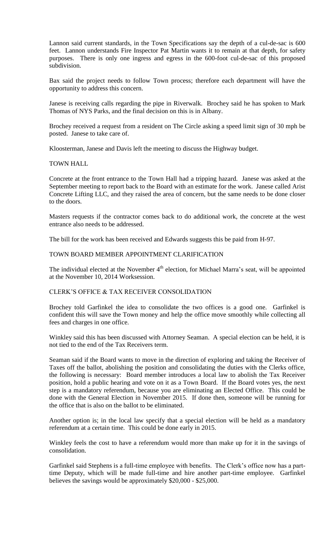Lannon said current standards, in the Town Specifications say the depth of a cul-de-sac is 600 feet. Lannon understands Fire Inspector Pat Martin wants it to remain at that depth, for safety purposes. There is only one ingress and egress in the 600-foot cul-de-sac of this proposed subdivision.

Bax said the project needs to follow Town process; therefore each department will have the opportunity to address this concern.

Janese is receiving calls regarding the pipe in Riverwalk. Brochey said he has spoken to Mark Thomas of NYS Parks, and the final decision on this is in Albany.

Brochey received a request from a resident on The Circle asking a speed limit sign of 30 mph be posted. Janese to take care of.

Kloosterman, Janese and Davis left the meeting to discuss the Highway budget.

#### TOWN HALL

Concrete at the front entrance to the Town Hall had a tripping hazard. Janese was asked at the September meeting to report back to the Board with an estimate for the work. Janese called Arist Concrete Lifting LLC, and they raised the area of concern, but the same needs to be done closer to the doors.

Masters requests if the contractor comes back to do additional work, the concrete at the west entrance also needs to be addressed.

The bill for the work has been received and Edwards suggests this be paid from H-97.

# TOWN BOARD MEMBER APPOINTMENT CLARIFICATION

The individual elected at the November  $4<sup>th</sup>$  election, for Michael Marra's seat, will be appointed at the November 10, 2014 Worksession.

## CLERK'S OFFICE & TAX RECEIVER CONSOLIDATION

Brochey told Garfinkel the idea to consolidate the two offices is a good one. Garfinkel is confident this will save the Town money and help the office move smoothly while collecting all fees and charges in one office.

Winkley said this has been discussed with Attorney Seaman. A special election can be held, it is not tied to the end of the Tax Receivers term.

Seaman said if the Board wants to move in the direction of exploring and taking the Receiver of Taxes off the ballot, abolishing the position and consolidating the duties with the Clerks office, the following is necessary: Board member introduces a local law to abolish the Tax Receiver position, hold a public hearing and vote on it as a Town Board. If the Board votes yes, the next step is a mandatory referendum, because you are eliminating an Elected Office. This could be done with the General Election in November 2015. If done then, someone will be running for the office that is also on the ballot to be eliminated.

Another option is; in the local law specify that a special election will be held as a mandatory referendum at a certain time. This could be done early in 2015.

Winkley feels the cost to have a referendum would more than make up for it in the savings of consolidation.

Garfinkel said Stephens is a full-time employee with benefits. The Clerk's office now has a parttime Deputy, which will be made full-time and hire another part-time employee. Garfinkel believes the savings would be approximately \$20,000 - \$25,000.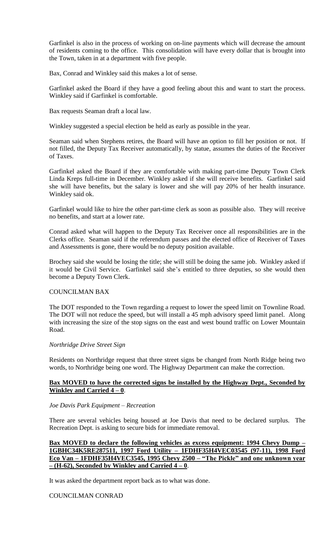Garfinkel is also in the process of working on on-line payments which will decrease the amount of residents coming to the office. This consolidation will have every dollar that is brought into the Town, taken in at a department with five people.

Bax, Conrad and Winkley said this makes a lot of sense.

Garfinkel asked the Board if they have a good feeling about this and want to start the process. Winkley said if Garfinkel is comfortable.

Bax requests Seaman draft a local law.

Winkley suggested a special election be held as early as possible in the year.

Seaman said when Stephens retires, the Board will have an option to fill her position or not. If not filled, the Deputy Tax Receiver automatically, by statue, assumes the duties of the Receiver of Taxes.

Garfinkel asked the Board if they are comfortable with making part-time Deputy Town Clerk Linda Kreps full-time in December. Winkley asked if she will receive benefits. Garfinkel said she will have benefits, but the salary is lower and she will pay 20% of her health insurance. Winkley said ok.

Garfinkel would like to hire the other part-time clerk as soon as possible also. They will receive no benefits, and start at a lower rate.

Conrad asked what will happen to the Deputy Tax Receiver once all responsibilities are in the Clerks office. Seaman said if the referendum passes and the elected office of Receiver of Taxes and Assessments is gone, there would be no deputy position available.

Brochey said she would be losing the title; she will still be doing the same job. Winkley asked if it would be Civil Service. Garfinkel said she's entitled to three deputies, so she would then become a Deputy Town Clerk.

## COUNCILMAN BAX

The DOT responded to the Town regarding a request to lower the speed limit on Townline Road. The DOT will not reduce the speed, but will install a 45 mph advisory speed limit panel. Along with increasing the size of the stop signs on the east and west bound traffic on Lower Mountain Road.

#### *Northridge Drive Street Sign*

Residents on Northridge request that three street signs be changed from North Ridge being two words, to Northridge being one word. The Highway Department can make the correction.

## **Bax MOVED to have the corrected signs be installed by the Highway Dept., Seconded by Winkley and Carried 4 – 0**.

## *Joe Davis Park Equipment – Recreation*

There are several vehicles being housed at Joe Davis that need to be declared surplus. The Recreation Dept. is asking to secure bids for immediate removal.

**Bax MOVED to declare the following vehicles as excess equipment: 1994 Chevy Dump – 1GBHC34K5RE287511, 1997 Ford Utility – 1FDHF35H4VEC03545 (97-11), 1998 Ford Eco Van – 1FDHF35H4VEC3545, 1995 Chevy 2500 – "The Pickle" and one unknown year**   $-\left(H - 62\right)$ , Seconded by Winkley and Carried  $4 - 0$ .

It was asked the department report back as to what was done.

# COUNCILMAN CONRAD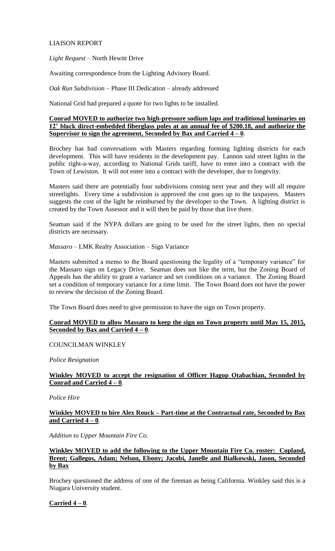## LIAISON REPORT

*Light Request* – North Hewitt Drive

Awaiting correspondence from the Lighting Advisory Board.

*Oak Run Subdivision –* Phase III Dedication – already addressed

National Grid had prepared a quote for two lights to be installed.

## **Conrad MOVED to authorize two high-pressure sodium laps and traditional luminaries on 12' black direct-embedded fiberglass poles at an annual fee of \$200.18, and authorize the Supervisor to sign the agreement, Seconded by Bax and Carried 4 – 0**.

Brochey has had conversations with Masters regarding forming lighting districts for each development. This will have residents in the development pay. Lannon said street lights in the public right-a-way, according to National Grids tariff, have to enter into a contract with the Town of Lewiston. It will not enter into a contract with the developer, due to longevity.

Masters said there are potentially four subdivisions coming next year and they will all require streetlights. Every time a subdivision is approved the cost goes up to the taxpayers. Masters suggests the cost of the light be reimbursed by the developer to the Town. A lighting district is created by the Town Assessor and it will then be paid by those that live there.

Seaman said if the NYPA dollars are going to be used for the street lights, then no special districts are necessary.

*Massaro* – LMK Realty Association – Sign Variance

Masters submitted a memo to the Board questioning the legality of a "temporary variance" for the Massaro sign on Legacy Drive. Seaman does not like the term, but the Zoning Board of Appeals has the ability to grant a variance and set conditions on a variance. The Zoning Board set a condition of temporary variance for a time limit. The Town Board does not have the power to review the decision of the Zoning Board.

The Town Board does need to give permission to have the sign on Town property.

# **Conrad MOVED to allow Massaro to keep the sign on Town property until May 15, 2015, Seconded by Bax and Carried 4 – 0**.

COUNCILMAN WINKLEY

*Police Resignation*

# **Winkley MOVED to accept the resignation of Officer Hagop Otabachian, Seconded by Conrad and Carried 4 – 0**.

*Police Hire* 

# **Winkley MOVED to hire Alex Rouck – Part-time at the Contractual rate, Seconded by Bax and Carried 4 – 0**.

*Addition to Upper Mountain Fire Co.*

# **Winkley MOVED to add the following to the Upper Mountain Fire Co. roster: Copland, Brent; Gallegos, Adam; Nelson, Ebony; Jacobi, Janelle and Bialkowski, Jason, Seconded by Bax**

Brochey questioned the address of one of the fireman as being California. Winkley said this is a Niagara University student.

# **Carried 4 – 0**.